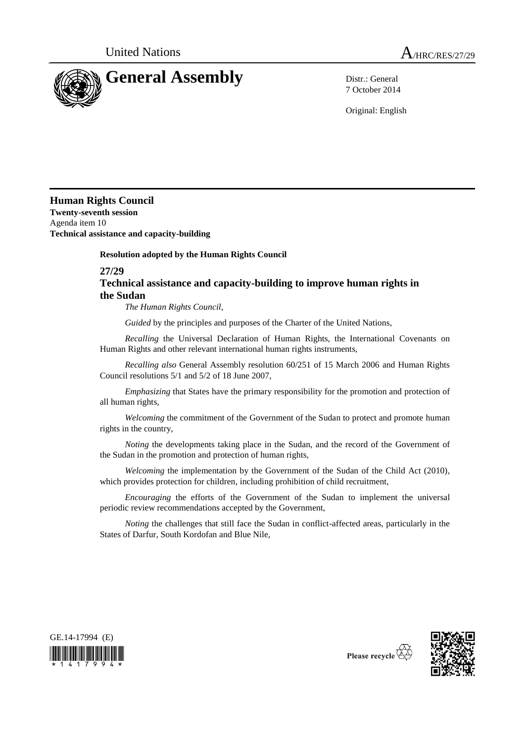

7 October 2014

Original: English

**Human Rights Council Twenty-seventh session** Agenda item 10

**Technical assistance and capacity-building**

## **Resolution adopted by the Human Rights Council**

## **27/29 Technical assistance and capacity-building to improve human rights in the Sudan**

*The Human Rights Council*,

*Guided* by the principles and purposes of the Charter of the United Nations,

*Recalling* the Universal Declaration of Human Rights, the International Covenants on Human Rights and other relevant international human rights instruments,

*Recalling also* General Assembly resolution 60/251 of 15 March 2006 and Human Rights Council resolutions 5/1 and 5/2 of 18 June 2007,

*Emphasizing* that States have the primary responsibility for the promotion and protection of all human rights,

*Welcoming* the commitment of the Government of the Sudan to protect and promote human rights in the country,

*Noting* the developments taking place in the Sudan, and the record of the Government of the Sudan in the promotion and protection of human rights,

*Welcoming* the implementation by the Government of the Sudan of the Child Act (2010), which provides protection for children, including prohibition of child recruitment,

*Encouraging* the efforts of the Government of the Sudan to implement the universal periodic review recommendations accepted by the Government,

*Noting* the challenges that still face the Sudan in conflict-affected areas, particularly in the States of Darfur, South Kordofan and Blue Nile,





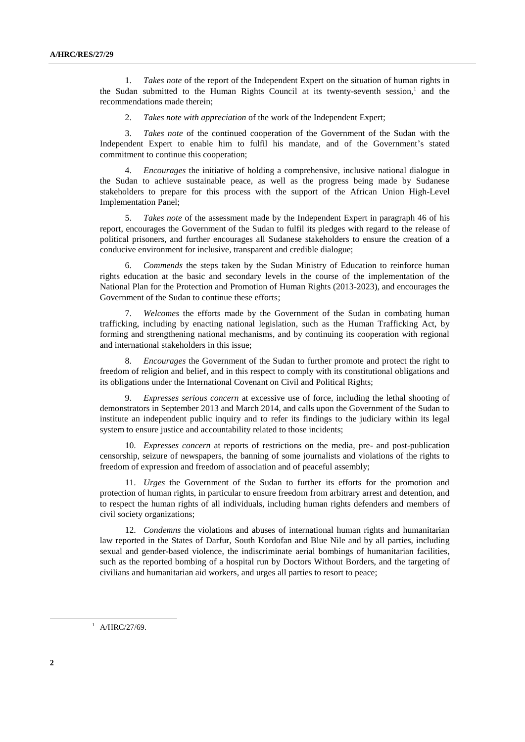1. *Takes note* of the report of the Independent Expert on the situation of human rights in the Sudan submitted to the Human Rights Council at its twenty-seventh session,<sup>1</sup> and the recommendations made therein;

2. *Takes note with appreciation* of the work of the Independent Expert;

3. *Takes note* of the continued cooperation of the Government of the Sudan with the Independent Expert to enable him to fulfil his mandate, and of the Government's stated commitment to continue this cooperation;

4. *Encourages* the initiative of holding a comprehensive, inclusive national dialogue in the Sudan to achieve sustainable peace, as well as the progress being made by Sudanese stakeholders to prepare for this process with the support of the African Union High-Level Implementation Panel;

5. *Takes note* of the assessment made by the Independent Expert in paragraph 46 of his report, encourages the Government of the Sudan to fulfil its pledges with regard to the release of political prisoners, and further encourages all Sudanese stakeholders to ensure the creation of a conducive environment for inclusive, transparent and credible dialogue;

6. *Commends* the steps taken by the Sudan Ministry of Education to reinforce human rights education at the basic and secondary levels in the course of the implementation of the National Plan for the Protection and Promotion of Human Rights (2013-2023), and encourages the Government of the Sudan to continue these efforts;

7. *Welcomes* the efforts made by the Government of the Sudan in combating human trafficking, including by enacting national legislation, such as the Human Trafficking Act, by forming and strengthening national mechanisms, and by continuing its cooperation with regional and international stakeholders in this issue;

8. *Encourages* the Government of the Sudan to further promote and protect the right to freedom of religion and belief, and in this respect to comply with its constitutional obligations and its obligations under the International Covenant on Civil and Political Rights;

9. *Expresses serious concern* at excessive use of force, including the lethal shooting of demonstrators in September 2013 and March 2014, and calls upon the Government of the Sudan to institute an independent public inquiry and to refer its findings to the judiciary within its legal system to ensure justice and accountability related to those incidents;

10. *Expresses concern* at reports of restrictions on the media, pre- and post-publication censorship, seizure of newspapers, the banning of some journalists and violations of the rights to freedom of expression and freedom of association and of peaceful assembly;

11. *Urges* the Government of the Sudan to further its efforts for the promotion and protection of human rights, in particular to ensure freedom from arbitrary arrest and detention, and to respect the human rights of all individuals, including human rights defenders and members of civil society organizations;

12. *Condemns* the violations and abuses of international human rights and humanitarian law reported in the States of Darfur, South Kordofan and Blue Nile and by all parties, including sexual and gender-based violence, the indiscriminate aerial bombings of humanitarian facilities, such as the reported bombing of a hospital run by Doctors Without Borders, and the targeting of civilians and humanitarian aid workers, and urges all parties to resort to peace;

 $1$  A/HRC/27/69.

-